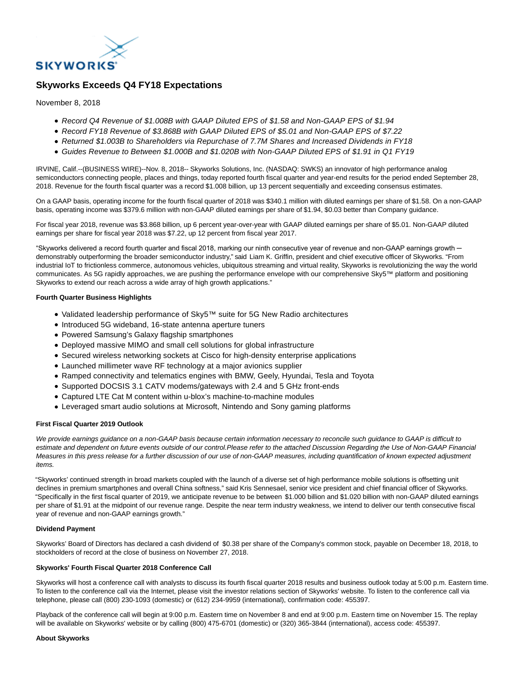

# **Skyworks Exceeds Q4 FY18 Expectations**

November 8, 2018

- Record Q4 Revenue of \$1.008B with GAAP Diluted EPS of \$1.58 and Non-GAAP EPS of \$1.94
- Record FY18 Revenue of \$3.868B with GAAP Diluted EPS of \$5.01 and Non-GAAP EPS of \$7.22
- Returned \$1.003B to Shareholders via Repurchase of 7.7M Shares and Increased Dividends in FY18
- Guides Revenue to Between \$1.000B and \$1.020B with Non-GAAP Diluted EPS of \$1.91 in Q1 FY19

IRVINE, Calif.--(BUSINESS WIRE)--Nov. 8, 2018-- Skyworks Solutions, Inc. (NASDAQ: SWKS) an innovator of high performance analog semiconductors connecting people, places and things, today reported fourth fiscal quarter and year-end results for the period ended September 28, 2018. Revenue for the fourth fiscal quarter was a record \$1.008 billion, up 13 percent sequentially and exceeding consensus estimates.

On a GAAP basis, operating income for the fourth fiscal quarter of 2018 was \$340.1 million with diluted earnings per share of \$1.58. On a non-GAAP basis, operating income was \$379.6 million with non-GAAP diluted earnings per share of \$1.94, \$0.03 better than Company guidance.

For fiscal year 2018, revenue was \$3.868 billion, up 6 percent year-over-year with GAAP diluted earnings per share of \$5.01. Non-GAAP diluted earnings per share for fiscal year 2018 was \$7.22, up 12 percent from fiscal year 2017.

"Skyworks delivered a record fourth quarter and fiscal 2018, marking our ninth consecutive year of revenue and non-GAAP earnings growth ─ demonstrably outperforming the broader semiconductor industry," said Liam K. Griffin, president and chief executive officer of Skyworks. "From industrial IoT to frictionless commerce, autonomous vehicles, ubiquitous streaming and virtual reality, Skyworks is revolutionizing the way the world communicates. As 5G rapidly approaches, we are pushing the performance envelope with our comprehensive Sky5™ platform and positioning Skyworks to extend our reach across a wide array of high growth applications."

### **Fourth Quarter Business Highlights**

- Validated leadership performance of Sky5™ suite for 5G New Radio architectures
- Introduced 5G wideband, 16-state antenna aperture tuners
- Powered Samsung's Galaxy flagship smartphones
- Deployed massive MIMO and small cell solutions for global infrastructure
- Secured wireless networking sockets at Cisco for high-density enterprise applications
- Launched millimeter wave RF technology at a major avionics supplier
- Ramped connectivity and telematics engines with BMW, Geely, Hyundai, Tesla and Toyota
- Supported DOCSIS 3.1 CATV modems/gateways with 2.4 and 5 GHz front-ends
- Captured LTE Cat M content within u-blox's machine-to-machine modules
- Leveraged smart audio solutions at Microsoft, Nintendo and Sony gaming platforms

#### **First Fiscal Quarter 2019 Outlook**

We provide earnings guidance on a non-GAAP basis because certain information necessary to reconcile such guidance to GAAP is difficult to estimate and dependent on future events outside of our control.Please refer to the attached Discussion Regarding the Use of Non-GAAP Financial Measures in this press release for a further discussion of our use of non-GAAP measures, including quantification of known expected adjustment items.

"Skyworks' continued strength in broad markets coupled with the launch of a diverse set of high performance mobile solutions is offsetting unit declines in premium smartphones and overall China softness," said Kris Sennesael, senior vice president and chief financial officer of Skyworks. "Specifically in the first fiscal quarter of 2019, we anticipate revenue to be between \$1.000 billion and \$1.020 billion with non-GAAP diluted earnings per share of \$1.91 at the midpoint of our revenue range. Despite the near term industry weakness, we intend to deliver our tenth consecutive fiscal year of revenue and non-GAAP earnings growth."

#### **Dividend Payment**

Skyworks' Board of Directors has declared a cash dividend of \$0.38 per share of the Company's common stock, payable on December 18, 2018, to stockholders of record at the close of business on November 27, 2018.

#### **Skyworks' Fourth Fiscal Quarter 2018 Conference Call**

Skyworks will host a conference call with analysts to discuss its fourth fiscal quarter 2018 results and business outlook today at 5:00 p.m. Eastern time. To listen to the conference call via the Internet, please visit the investor relations section of Skyworks' website. To listen to the conference call via telephone, please call (800) 230-1093 (domestic) or (612) 234-9959 (international), confirmation code: 455397.

Playback of the conference call will begin at 9:00 p.m. Eastern time on November 8 and end at 9:00 p.m. Eastern time on November 15. The replay will be available on Skyworks' website or by calling (800) 475-6701 (domestic) or (320) 365-3844 (international), access code: 455397.

#### **About Skyworks**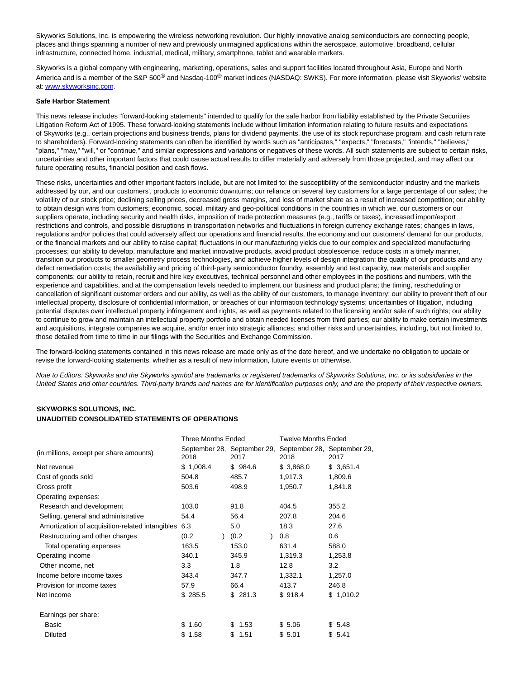Skyworks Solutions, Inc. is empowering the wireless networking revolution. Our highly innovative analog semiconductors are connecting people, places and things spanning a number of new and previously unimagined applications within the aerospace, automotive, broadband, cellular infrastructure, connected home, industrial, medical, military, smartphone, tablet and wearable markets.

Skyworks is a global company with engineering, marketing, operations, sales and support facilities located throughout Asia, Europe and North America and is a member of the S&P 500<sup>®</sup> and Nasdaq-100<sup>®</sup> market indices (NASDAQ: SWKS). For more information, please visit Skyworks' website at: [www.skyworksinc.com.](http://cts.businesswire.com/ct/CT?id=smartlink&url=http%3A%2F%2Fwww.skyworksinc.com&esheet=51897081&newsitemid=20181108005981&lan=en-US&anchor=www.skyworksinc.com&index=1&md5=d0d019c32fd4aa0d44c161ae1150a58f)

#### **Safe Harbor Statement**

This news release includes "forward-looking statements" intended to qualify for the safe harbor from liability established by the Private Securities Litigation Reform Act of 1995. These forward-looking statements include without limitation information relating to future results and expectations of Skyworks (e.g., certain projections and business trends, plans for dividend payments, the use of its stock repurchase program, and cash return rate to shareholders). Forward-looking statements can often be identified by words such as "anticipates," "expects," "forecasts," "intends," "believes," "plans," "may," "will," or "continue," and similar expressions and variations or negatives of these words. All such statements are subject to certain risks, uncertainties and other important factors that could cause actual results to differ materially and adversely from those projected, and may affect our future operating results, financial position and cash flows.

These risks, uncertainties and other important factors include, but are not limited to: the susceptibility of the semiconductor industry and the markets addressed by our, and our customers', products to economic downturns; our reliance on several key customers for a large percentage of our sales; the volatility of our stock price; declining selling prices, decreased gross margins, and loss of market share as a result of increased competition; our ability to obtain design wins from customers; economic, social, military and geo-political conditions in the countries in which we, our customers or our suppliers operate, including security and health risks, imposition of trade protection measures (e.g., tariffs or taxes), increased import/export restrictions and controls, and possible disruptions in transportation networks and fluctuations in foreign currency exchange rates; changes in laws, regulations and/or policies that could adversely affect our operations and financial results, the economy and our customers' demand for our products, or the financial markets and our ability to raise capital; fluctuations in our manufacturing yields due to our complex and specialized manufacturing processes; our ability to develop, manufacture and market innovative products, avoid product obsolescence, reduce costs in a timely manner, transition our products to smaller geometry process technologies, and achieve higher levels of design integration; the quality of our products and any defect remediation costs; the availability and pricing of third-party semiconductor foundry, assembly and test capacity, raw materials and supplier components; our ability to retain, recruit and hire key executives, technical personnel and other employees in the positions and numbers, with the experience and capabilities, and at the compensation levels needed to implement our business and product plans; the timing, rescheduling or cancellation of significant customer orders and our ability, as well as the ability of our customers, to manage inventory; our ability to prevent theft of our intellectual property, disclosure of confidential information, or breaches of our information technology systems; uncertainties of litigation, including potential disputes over intellectual property infringement and rights, as well as payments related to the licensing and/or sale of such rights; our ability to continue to grow and maintain an intellectual property portfolio and obtain needed licenses from third parties; our ability to make certain investments and acquisitions, integrate companies we acquire, and/or enter into strategic alliances; and other risks and uncertainties, including, but not limited to, those detailed from time to time in our filings with the Securities and Exchange Commission.

The forward-looking statements contained in this news release are made only as of the date hereof, and we undertake no obligation to update or revise the forward-looking statements, whether as a result of new information, future events or otherwise.

Note to Editors: Skyworks and the Skyworks symbol are trademarks or registered trademarks of Skyworks Solutions, Inc. or its subsidiaries in the United States and other countries. Third-party brands and names are for identification purposes only, and are the property of their respective owners.

## **SKYWORKS SOLUTIONS, INC. UNAUDITED CONSOLIDATED STATEMENTS OF OPERATIONS**

|                                                 | Three Months Ended                                                      |             |           |             |  |
|-------------------------------------------------|-------------------------------------------------------------------------|-------------|-----------|-------------|--|
| (in millions, except per share amounts)         | September 28, September 29, September 28, September 29,<br>2017<br>2018 |             | 2018      | 2017        |  |
| Net revenue                                     | \$1,008.4                                                               | \$984.6     | \$3,868.0 | \$3,651.4   |  |
| Cost of goods sold                              | 504.8                                                                   | 485.7       | 1,917.3   | 1,809.6     |  |
| Gross profit                                    | 503.6                                                                   | 498.9       | 1,950.7   | 1,841.8     |  |
| Operating expenses:                             |                                                                         |             |           |             |  |
| Research and development                        | 103.0                                                                   | 91.8        | 404.5     | 355.2       |  |
| Selling, general and administrative             | 54.4                                                                    | 56.4        | 207.8     | 204.6       |  |
| Amortization of acquisition-related intangibles | 6.3                                                                     | 5.0         | 18.3      | 27.6        |  |
| Restructuring and other charges                 | (0.2)                                                                   | (0.2)       | 0.8       | 0.6         |  |
| Total operating expenses                        | 163.5                                                                   | 153.0       | 631.4     | 588.0       |  |
| Operating income                                | 340.1                                                                   | 345.9       | 1,319.3   | 1,253.8     |  |
| Other income, net                               | 3.3                                                                     | 1.8         | 12.8      | 3.2         |  |
| Income before income taxes                      | 343.4                                                                   | 347.7       | 1,332.1   | 1,257.0     |  |
| Provision for income taxes                      | 57.9                                                                    | 66.4        | 413.7     | 246.8       |  |
| Net income                                      | \$285.5                                                                 | \$281.3     | \$918.4   | \$1,010.2   |  |
| Earnings per share:                             |                                                                         |             |           |             |  |
| Basic                                           | \$.<br>1.60                                                             | 1.53<br>\$. | \$5.06    | 5.48<br>\$. |  |
| <b>Diluted</b>                                  | 1.58<br>\$.                                                             | 1.51<br>\$  | \$5.01    | 5.41<br>\$. |  |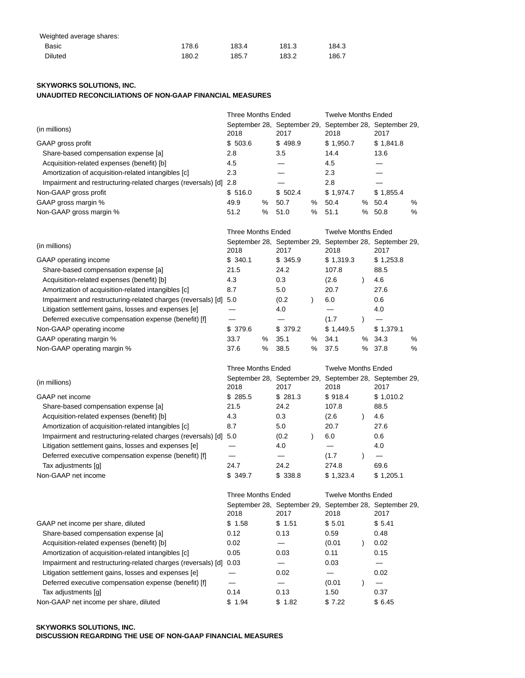| Weighted average shares: |       |       |       |       |
|--------------------------|-------|-------|-------|-------|
| Basic                    | 178.6 | 183.4 | 181.3 | 184.3 |
| <b>Diluted</b>           | 180.2 | 185.7 | 183.2 | 186.7 |

# **SKYWORKS SOLUTIONS, INC.**

## **UNAUDITED RECONCILIATIONS OF NON-GAAP FINANCIAL MEASURES**

|                                                                   | <b>Three Months Ended</b>                                       |   |                                                                 | <b>Twelve Months Ended</b> |                                                                 |           |                            |   |
|-------------------------------------------------------------------|-----------------------------------------------------------------|---|-----------------------------------------------------------------|----------------------------|-----------------------------------------------------------------|-----------|----------------------------|---|
| (in millions)                                                     | September 28, September 29, September 28, September 29,<br>2018 |   | 2017                                                            |                            | 2018                                                            |           | 2017                       |   |
| GAAP gross profit                                                 | \$503.6                                                         |   | \$498.9                                                         |                            | \$1,950.7                                                       |           | \$1,841.8                  |   |
| Share-based compensation expense [a]                              | 2.8                                                             |   | 3.5                                                             |                            | 14.4                                                            |           | 13.6                       |   |
| Acquisition-related expenses (benefit) [b]                        | 4.5                                                             |   |                                                                 |                            | 4.5                                                             |           |                            |   |
| Amortization of acquisition-related intangibles [c]               | 2.3                                                             |   |                                                                 |                            | 2.3                                                             |           |                            |   |
| Impairment and restructuring-related charges (reversals) [d] 2.8  |                                                                 |   |                                                                 |                            | 2.8                                                             |           |                            |   |
| Non-GAAP gross profit                                             | \$516.0                                                         |   | \$502.4                                                         |                            | \$1,974.7                                                       |           | \$1,855.4                  |   |
| GAAP gross margin %                                               | 49.9                                                            | ℅ | 50.7                                                            | ℅                          | 50.4                                                            | %         | 50.4                       | ℅ |
| Non-GAAP gross margin %                                           | 51.2                                                            | % | 51.0                                                            | %                          | 51.1                                                            | %         | 50.8                       | % |
|                                                                   | <b>Three Months Ended</b>                                       |   |                                                                 |                            |                                                                 |           | <b>Twelve Months Ended</b> |   |
| (in millions)                                                     | 2018                                                            |   | September 28, September 29, September 28, September 29,<br>2017 |                            | 2018                                                            |           | 2017                       |   |
| GAAP operating income                                             | \$340.1                                                         |   | \$345.9                                                         |                            | \$1,319.3                                                       |           | \$1,253.8                  |   |
| Share-based compensation expense [a]                              | 21.5                                                            |   | 24.2                                                            |                            | 107.8                                                           |           | 88.5                       |   |
| Acquisition-related expenses (benefit) [b]                        | 4.3                                                             |   | 0.3                                                             |                            | (2.6)                                                           | $\lambda$ | 4.6                        |   |
| Amortization of acquisition-related intangibles [c]               | 8.7                                                             |   | 5.0                                                             |                            | 20.7                                                            |           | 27.6                       |   |
| Impairment and restructuring-related charges (reversals) [d] 5.0  |                                                                 |   | (0.2)                                                           | $\lambda$                  | 6.0                                                             |           | 0.6                        |   |
| Litigation settlement gains, losses and expenses [e]              |                                                                 |   | 4.0                                                             |                            |                                                                 |           | 4.0                        |   |
| Deferred executive compensation expense (benefit) [f]             |                                                                 |   |                                                                 |                            | (1.7)                                                           | $\lambda$ |                            |   |
| Non-GAAP operating income                                         | \$379.6                                                         |   | \$379.2                                                         |                            | \$1,449.5                                                       |           | \$1,379.1                  |   |
| GAAP operating margin %                                           | 33.7                                                            | ℅ | 35.1                                                            | %                          | 34.1                                                            | %         | 34.3                       | % |
| Non-GAAP operating margin %                                       | 37.6                                                            | % | 38.5                                                            | %                          | 37.5                                                            | ℅         | 37.8                       | % |
|                                                                   | <b>Three Months Ended</b>                                       |   |                                                                 |                            | <b>Twelve Months Ended</b>                                      |           |                            |   |
|                                                                   |                                                                 |   |                                                                 |                            |                                                                 |           |                            |   |
|                                                                   |                                                                 |   |                                                                 |                            |                                                                 |           |                            |   |
| (in millions)                                                     | 2018                                                            |   | 2017                                                            |                            | September 28, September 29, September 28, September 29,<br>2018 |           | 2017                       |   |
| GAAP net income                                                   | \$285.5                                                         |   | \$281.3                                                         |                            | \$918.4                                                         |           | \$1,010.2                  |   |
| Share-based compensation expense [a]                              | 21.5                                                            |   | 24.2                                                            |                            | 107.8                                                           |           | 88.5                       |   |
| Acquisition-related expenses (benefit) [b]                        | 4.3                                                             |   | 0.3                                                             |                            | (2.6)                                                           | $\lambda$ | 4.6                        |   |
| Amortization of acquisition-related intangibles [c]               | 8.7                                                             |   | 5.0                                                             |                            | 20.7                                                            |           | 27.6                       |   |
| Impairment and restructuring-related charges (reversals) [d] 5.0  |                                                                 |   | (0.2)                                                           | $\lambda$                  | 6.0                                                             |           | 0.6                        |   |
| Litigation settlement gains, losses and expenses [e]              |                                                                 |   | 4.0                                                             |                            |                                                                 |           | 4.0                        |   |
| Deferred executive compensation expense (benefit) [f]             |                                                                 |   | —                                                               |                            | (1.7)                                                           | $\lambda$ |                            |   |
| Tax adjustments [g]                                               | 24.7                                                            |   | 24.2                                                            |                            | 274.8                                                           |           | 69.6                       |   |
| Non-GAAP net income                                               | \$349.7                                                         |   | \$338.8                                                         |                            | \$1,323.4                                                       |           | \$1,205.1                  |   |
|                                                                   | <b>Three Months Ended</b>                                       |   |                                                                 |                            | <b>Twelve Months Ended</b>                                      |           |                            |   |
|                                                                   | 2018                                                            |   | 2017                                                            |                            | September 28, September 29, September 28, September 29,<br>2018 |           | 2017                       |   |
| GAAP net income per share, diluted                                | \$1.58                                                          |   | \$1.51                                                          |                            | \$5.01                                                          |           | \$5.41                     |   |
| Share-based compensation expense [a]                              | 0.12                                                            |   | 0.13                                                            |                            | 0.59                                                            |           | 0.48                       |   |
| Acquisition-related expenses (benefit) [b]                        | 0.02                                                            |   | $\overline{\phantom{0}}$                                        |                            | (0.01)                                                          | $\lambda$ | 0.02                       |   |
| Amortization of acquisition-related intangibles [c]               | 0.05                                                            |   | 0.03                                                            |                            | 0.11                                                            |           | 0.15                       |   |
| Impairment and restructuring-related charges (reversals) [d] 0.03 |                                                                 |   |                                                                 |                            | 0.03                                                            |           |                            |   |
| Litigation settlement gains, losses and expenses [e]              |                                                                 |   | 0.02                                                            |                            | $\overline{\phantom{0}}$                                        |           | 0.02                       |   |
| Deferred executive compensation expense (benefit) [f]             |                                                                 |   |                                                                 |                            | (0.01)                                                          | $\lambda$ | —                          |   |
| Tax adjustments [g]                                               | 0.14                                                            |   | 0.13                                                            |                            | 1.50                                                            |           | 0.37                       |   |

## **SKYWORKS SOLUTIONS, INC. DISCUSSION REGARDING THE USE OF NON-GAAP FINANCIAL MEASURES**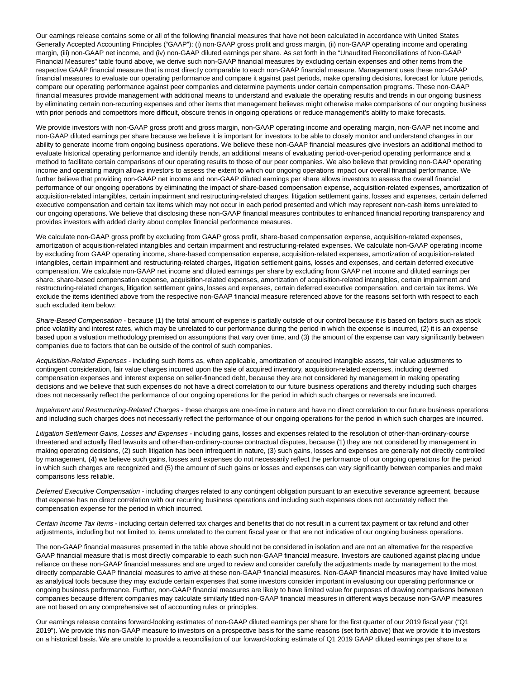Our earnings release contains some or all of the following financial measures that have not been calculated in accordance with United States Generally Accepted Accounting Principles ("GAAP"): (i) non-GAAP gross profit and gross margin, (ii) non-GAAP operating income and operating margin, (iii) non-GAAP net income, and (iv) non-GAAP diluted earnings per share. As set forth in the "Unaudited Reconciliations of Non-GAAP Financial Measures" table found above, we derive such non-GAAP financial measures by excluding certain expenses and other items from the respective GAAP financial measure that is most directly comparable to each non-GAAP financial measure. Management uses these non-GAAP financial measures to evaluate our operating performance and compare it against past periods, make operating decisions, forecast for future periods, compare our operating performance against peer companies and determine payments under certain compensation programs. These non-GAAP financial measures provide management with additional means to understand and evaluate the operating results and trends in our ongoing business by eliminating certain non-recurring expenses and other items that management believes might otherwise make comparisons of our ongoing business with prior periods and competitors more difficult, obscure trends in ongoing operations or reduce management's ability to make forecasts.

We provide investors with non-GAAP gross profit and gross margin, non-GAAP operating income and operating margin, non-GAAP net income and non-GAAP diluted earnings per share because we believe it is important for investors to be able to closely monitor and understand changes in our ability to generate income from ongoing business operations. We believe these non-GAAP financial measures give investors an additional method to evaluate historical operating performance and identify trends, an additional means of evaluating period-over-period operating performance and a method to facilitate certain comparisons of our operating results to those of our peer companies. We also believe that providing non-GAAP operating income and operating margin allows investors to assess the extent to which our ongoing operations impact our overall financial performance. We further believe that providing non-GAAP net income and non-GAAP diluted earnings per share allows investors to assess the overall financial performance of our ongoing operations by eliminating the impact of share-based compensation expense, acquisition-related expenses, amortization of acquisition-related intangibles, certain impairment and restructuring-related charges, litigation settlement gains, losses and expenses, certain deferred executive compensation and certain tax items which may not occur in each period presented and which may represent non-cash items unrelated to our ongoing operations. We believe that disclosing these non-GAAP financial measures contributes to enhanced financial reporting transparency and provides investors with added clarity about complex financial performance measures.

We calculate non-GAAP gross profit by excluding from GAAP gross profit, share-based compensation expense, acquisition-related expenses, amortization of acquisition-related intangibles and certain impairment and restructuring-related expenses. We calculate non-GAAP operating income by excluding from GAAP operating income, share-based compensation expense, acquisition-related expenses, amortization of acquisition-related intangibles, certain impairment and restructuring-related charges, litigation settlement gains, losses and expenses, and certain deferred executive compensation. We calculate non-GAAP net income and diluted earnings per share by excluding from GAAP net income and diluted earnings per share, share-based compensation expense, acquisition-related expenses, amortization of acquisition-related intangibles, certain impairment and restructuring-related charges, litigation settlement gains, losses and expenses, certain deferred executive compensation, and certain tax items. We exclude the items identified above from the respective non-GAAP financial measure referenced above for the reasons set forth with respect to each such excluded item below:

Share-Based Compensation - because (1) the total amount of expense is partially outside of our control because it is based on factors such as stock price volatility and interest rates, which may be unrelated to our performance during the period in which the expense is incurred, (2) it is an expense based upon a valuation methodology premised on assumptions that vary over time, and (3) the amount of the expense can vary significantly between companies due to factors that can be outside of the control of such companies.

Acquisition-Related Expenses - including such items as, when applicable, amortization of acquired intangible assets, fair value adjustments to contingent consideration, fair value charges incurred upon the sale of acquired inventory, acquisition-related expenses, including deemed compensation expenses and interest expense on seller-financed debt, because they are not considered by management in making operating decisions and we believe that such expenses do not have a direct correlation to our future business operations and thereby including such charges does not necessarily reflect the performance of our ongoing operations for the period in which such charges or reversals are incurred.

Impairment and Restructuring-Related Charges - these charges are one-time in nature and have no direct correlation to our future business operations and including such charges does not necessarily reflect the performance of our ongoing operations for the period in which such charges are incurred.

Litigation Settlement Gains, Losses and Expenses - including gains, losses and expenses related to the resolution of other-than-ordinary-course threatened and actually filed lawsuits and other-than-ordinary-course contractual disputes, because (1) they are not considered by management in making operating decisions, (2) such litigation has been infrequent in nature, (3) such gains, losses and expenses are generally not directly controlled by management, (4) we believe such gains, losses and expenses do not necessarily reflect the performance of our ongoing operations for the period in which such charges are recognized and (5) the amount of such gains or losses and expenses can vary significantly between companies and make comparisons less reliable.

Deferred Executive Compensation - including charges related to any contingent obligation pursuant to an executive severance agreement, because that expense has no direct correlation with our recurring business operations and including such expenses does not accurately reflect the compensation expense for the period in which incurred.

Certain Income Tax Items - including certain deferred tax charges and benefits that do not result in a current tax payment or tax refund and other adjustments, including but not limited to, items unrelated to the current fiscal year or that are not indicative of our ongoing business operations.

The non-GAAP financial measures presented in the table above should not be considered in isolation and are not an alternative for the respective GAAP financial measure that is most directly comparable to each such non-GAAP financial measure. Investors are cautioned against placing undue reliance on these non-GAAP financial measures and are urged to review and consider carefully the adjustments made by management to the most directly comparable GAAP financial measures to arrive at these non-GAAP financial measures. Non-GAAP financial measures may have limited value as analytical tools because they may exclude certain expenses that some investors consider important in evaluating our operating performance or ongoing business performance. Further, non-GAAP financial measures are likely to have limited value for purposes of drawing comparisons between companies because different companies may calculate similarly titled non-GAAP financial measures in different ways because non-GAAP measures are not based on any comprehensive set of accounting rules or principles.

Our earnings release contains forward-looking estimates of non-GAAP diluted earnings per share for the first quarter of our 2019 fiscal year ("Q1 2019"). We provide this non-GAAP measure to investors on a prospective basis for the same reasons (set forth above) that we provide it to investors on a historical basis. We are unable to provide a reconciliation of our forward-looking estimate of Q1 2019 GAAP diluted earnings per share to a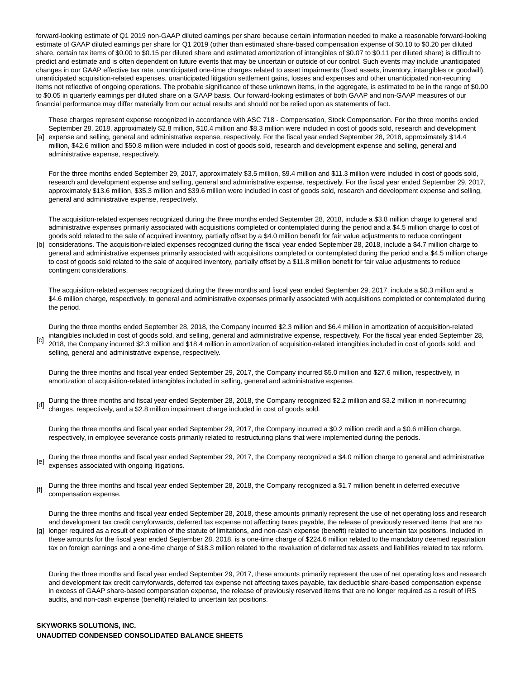forward-looking estimate of Q1 2019 non-GAAP diluted earnings per share because certain information needed to make a reasonable forward-looking estimate of GAAP diluted earnings per share for Q1 2019 (other than estimated share-based compensation expense of \$0.10 to \$0.20 per diluted share, certain tax items of \$0.00 to \$0.15 per diluted share and estimated amortization of intangibles of \$0.07 to \$0.11 per diluted share) is difficult to predict and estimate and is often dependent on future events that may be uncertain or outside of our control. Such events may include unanticipated changes in our GAAP effective tax rate, unanticipated one-time charges related to asset impairments (fixed assets, inventory, intangibles or goodwill), unanticipated acquisition-related expenses, unanticipated litigation settlement gains, losses and expenses and other unanticipated non-recurring items not reflective of ongoing operations. The probable significance of these unknown items, in the aggregate, is estimated to be in the range of \$0.00 to \$0.05 in quarterly earnings per diluted share on a GAAP basis. Our forward-looking estimates of both GAAP and non-GAAP measures of our financial performance may differ materially from our actual results and should not be relied upon as statements of fact.

[a] expense and selling, general and administrative expense, respectively. For the fiscal year ended September 28, 2018, approximately \$14.4 These charges represent expense recognized in accordance with ASC 718 - Compensation, Stock Compensation. For the three months ended September 28, 2018, approximately \$2.8 million, \$10.4 million and \$8.3 million were included in cost of goods sold, research and development

million, \$42.6 million and \$50.8 million were included in cost of goods sold, research and development expense and selling, general and administrative expense, respectively.

For the three months ended September 29, 2017, approximately \$3.5 million, \$9.4 million and \$11.3 million were included in cost of goods sold, research and development expense and selling, general and administrative expense, respectively. For the fiscal year ended September 29, 2017, approximately \$13.6 million, \$35.3 million and \$39.6 million were included in cost of goods sold, research and development expense and selling, general and administrative expense, respectively.

The acquisition-related expenses recognized during the three months ended September 28, 2018, include a \$3.8 million charge to general and administrative expenses primarily associated with acquisitions completed or contemplated during the period and a \$4.5 million charge to cost of goods sold related to the sale of acquired inventory, partially offset by a \$4.0 million benefit for fair value adjustments to reduce contingent

[b] considerations. The acquisition-related expenses recognized during the fiscal year ended September 28, 2018, include a \$4.7 million charge to general and administrative expenses primarily associated with acquisitions completed or contemplated during the period and a \$4.5 million charge to cost of goods sold related to the sale of acquired inventory, partially offset by a \$11.8 million benefit for fair value adjustments to reduce contingent considerations.

The acquisition-related expenses recognized during the three months and fiscal year ended September 29, 2017, include a \$0.3 million and a \$4.6 million charge, respectively, to general and administrative expenses primarily associated with acquisitions completed or contemplated during the period.

 $\lceil c \rceil$ During the three months ended September 28, 2018, the Company incurred \$2.3 million and \$6.4 million in amortization of acquisition-related intangibles included in cost of goods sold, and selling, general and administrative expense, respectively. For the fiscal year ended September 28, 2018, the Company incurred \$2.3 million and \$18.4 million in amortization of acquisition-related intangibles included in cost of goods sold, and selling, general and administrative expense, respectively.

During the three months and fiscal year ended September 29, 2017, the Company incurred \$5.0 million and \$27.6 million, respectively, in amortization of acquisition-related intangibles included in selling, general and administrative expense.

[d] During the three months and fiscal year ended September 28, 2018, the Company recognized \$2.2 million and \$3.2 million in non-recurring charges, respectively, and a \$2.8 million impairment charge included in cost of goods sold.

During the three months and fiscal year ended September 29, 2017, the Company incurred a \$0.2 million credit and a \$0.6 million charge, respectively, in employee severance costs primarily related to restructuring plans that were implemented during the periods.

- [e] During the three months and fiscal year ended September 29, 2017, the Company recognized a \$4.0 million charge to general and administrative expenses associated with ongoing litigations.
- [f] During the three months and fiscal year ended September 28, 2018, the Company recognized a \$1.7 million benefit in deferred executive compensation expense.

During the three months and fiscal year ended September 28, 2018, these amounts primarily represent the use of net operating loss and research and development tax credit carryforwards, deferred tax expense not affecting taxes payable, the release of previously reserved items that are no

[g] longer required as a result of expiration of the statute of limitations, and non-cash expense (benefit) related to uncertain tax positions. Included in these amounts for the fiscal year ended September 28, 2018, is a one-time charge of \$224.6 million related to the mandatory deemed repatriation tax on foreign earnings and a one-time charge of \$18.3 million related to the revaluation of deferred tax assets and liabilities related to tax reform.

During the three months and fiscal year ended September 29, 2017, these amounts primarily represent the use of net operating loss and research and development tax credit carryforwards, deferred tax expense not affecting taxes payable, tax deductible share-based compensation expense in excess of GAAP share-based compensation expense, the release of previously reserved items that are no longer required as a result of IRS audits, and non-cash expense (benefit) related to uncertain tax positions.

## **SKYWORKS SOLUTIONS, INC. UNAUDITED CONDENSED CONSOLIDATED BALANCE SHEETS**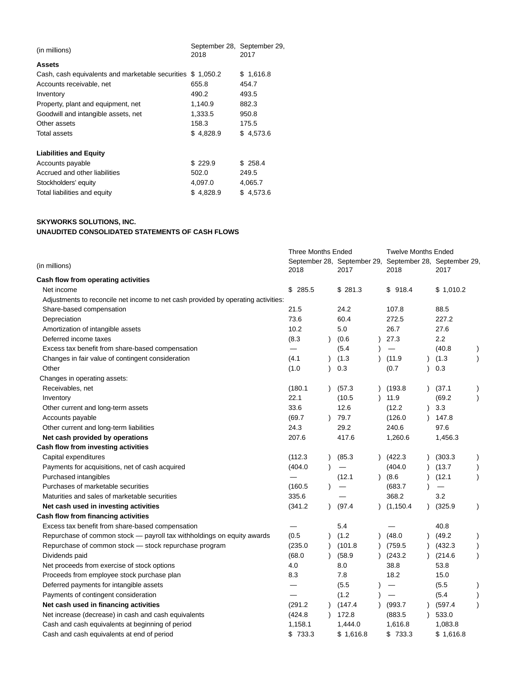| (in millions)                                              | 2018      | September 28, September 29,<br>2017 |
|------------------------------------------------------------|-----------|-------------------------------------|
| <b>Assets</b>                                              |           |                                     |
| Cash, cash equivalents and marketable securities \$1,050.2 |           | \$1,616.8                           |
| Accounts receivable, net                                   | 655.8     | 454.7                               |
| Inventory                                                  | 490.2     | 493.5                               |
| Property, plant and equipment, net                         | 1,140.9   | 882.3                               |
| Goodwill and intangible assets, net                        | 1,333.5   | 950.8                               |
| Other assets                                               | 158.3     | 175.5                               |
| <b>Total assets</b>                                        | \$4,828.9 | \$4,573.6                           |
| <b>Liabilities and Equity</b>                              |           |                                     |
| Accounts payable                                           | \$229.9   | \$258.4                             |
| Accrued and other liabilities                              | 502.0     | 249.5                               |
| Stockholders' equity                                       | 4,097.0   | 4,065.7                             |
| Total liabilities and equity                               | \$4,828.9 | \$4,573.6                           |

# **SKYWORKS SOLUTIONS, INC.**

## **UNAUDITED CONSOLIDATED STATEMENTS OF CASH FLOWS**

| (in millions)                                                                     |         | <b>Three Months Ended</b> |                                                                 |                          | Twelve Months Ended |                          |  |  |
|-----------------------------------------------------------------------------------|---------|---------------------------|-----------------------------------------------------------------|--------------------------|---------------------|--------------------------|--|--|
|                                                                                   |         |                           | September 28, September 29, September 28, September 29,<br>2017 | 2018                     |                     | 2017                     |  |  |
| Cash flow from operating activities                                               |         |                           |                                                                 |                          |                     |                          |  |  |
| Net income                                                                        | \$285.5 |                           | \$281.3                                                         | \$918.4                  |                     | \$1,010.2                |  |  |
| Adjustments to reconcile net income to net cash provided by operating activities: |         |                           |                                                                 |                          |                     |                          |  |  |
| Share-based compensation                                                          | 21.5    |                           | 24.2                                                            | 107.8                    |                     | 88.5                     |  |  |
| Depreciation                                                                      | 73.6    |                           | 60.4                                                            | 272.5                    |                     | 227.2                    |  |  |
| Amortization of intangible assets                                                 | 10.2    |                           | 5.0                                                             | 26.7                     |                     | 27.6                     |  |  |
| Deferred income taxes                                                             | (8.3)   | $\lambda$                 | (0.6)                                                           | 27.3                     |                     | 2.2                      |  |  |
| Excess tax benefit from share-based compensation                                  |         |                           | (5.4)                                                           | $\overline{\phantom{m}}$ |                     | (40.8)                   |  |  |
| Changes in fair value of contingent consideration                                 | (4.1)   | $\lambda$                 | (1.3)                                                           | (11.9)                   |                     | (1.3)                    |  |  |
| Other                                                                             | (1.0)   | $\lambda$                 | 0.3                                                             | (0.7)                    | $\lambda$           | 0.3                      |  |  |
| Changes in operating assets:                                                      |         |                           |                                                                 |                          |                     |                          |  |  |
| Receivables, net                                                                  | (180.1) | $\lambda$                 | (57.3)                                                          | (193.8)                  |                     | (37.1)                   |  |  |
| Inventory                                                                         | 22.1    |                           | (10.5)                                                          | 11.9                     |                     | (69.2)                   |  |  |
| Other current and long-term assets                                                | 33.6    |                           | 12.6                                                            | (12.2)                   | $\lambda$           | 3.3                      |  |  |
| Accounts payable                                                                  | (69.7)  | $\lambda$                 | 79.7                                                            | (126.0)                  |                     | 147.8                    |  |  |
| Other current and long-term liabilities                                           | 24.3    |                           | 29.2                                                            | 240.6                    |                     | 97.6                     |  |  |
| Net cash provided by operations                                                   | 207.6   |                           | 417.6                                                           | 1,260.6                  |                     | 1,456.3                  |  |  |
| Cash flow from investing activities                                               |         |                           |                                                                 |                          |                     |                          |  |  |
| Capital expenditures                                                              | (112.3) | $\lambda$                 | (85.3)                                                          | (422.3)                  |                     | (303.3)                  |  |  |
| Payments for acquisitions, net of cash acquired                                   | (404.0  |                           |                                                                 | (404.0                   |                     | (13.7)                   |  |  |
| Purchased intangibles                                                             |         |                           | (12.1)                                                          | (8.6)                    |                     | (12.1)                   |  |  |
| Purchases of marketable securities                                                | (160.5) |                           |                                                                 | (683.7)                  |                     | $\overline{\phantom{0}}$ |  |  |
| Maturities and sales of marketable securities                                     | 335.6   |                           |                                                                 | 368.2                    |                     | 3.2                      |  |  |
| Net cash used in investing activities                                             | (341.2) | $\lambda$                 | (97.4)                                                          | (1, 150.4)               |                     | (325.9)                  |  |  |
| Cash flow from financing activities                                               |         |                           |                                                                 |                          |                     |                          |  |  |
| Excess tax benefit from share-based compensation                                  |         |                           | 5.4                                                             |                          |                     | 40.8                     |  |  |
| Repurchase of common stock - payroll tax withholdings on equity awards            | (0.5)   | $\lambda$                 | (1.2)                                                           | (48.0)                   |                     | (49.2)                   |  |  |
| Repurchase of common stock - stock repurchase program                             | (235.0) | $\lambda$                 | (101.8)                                                         | (759.5)                  |                     | (432.3)                  |  |  |
| Dividends paid                                                                    | (68.0)  | $\lambda$                 | (58.9)                                                          | (243.2)                  |                     | (214.6)                  |  |  |
| Net proceeds from exercise of stock options                                       | 4.0     |                           | 8.0                                                             | 38.8                     |                     | 53.8                     |  |  |
| Proceeds from employee stock purchase plan                                        | 8.3     |                           | 7.8                                                             | 18.2                     |                     | 15.0                     |  |  |
| Deferred payments for intangible assets                                           |         |                           | (5.5)                                                           |                          |                     | (5.5)                    |  |  |
| Payments of contingent consideration                                              |         |                           | (1.2)                                                           |                          |                     | (5.4)                    |  |  |
| Net cash used in financing activities                                             | (291.2) | $\lambda$                 | (147.4)                                                         | (993.7)                  |                     | (597.4)                  |  |  |
| Net increase (decrease) in cash and cash equivalents                              | (424.8) |                           | 172.8                                                           | (883.5)                  |                     | 533.0                    |  |  |
| Cash and cash equivalents at beginning of period                                  | 1,158.1 |                           | 1,444.0                                                         | 1,616.8                  |                     | 1,083.8                  |  |  |
| Cash and cash equivalents at end of period                                        | \$733.3 |                           | \$1,616.8                                                       | \$733.3                  |                     | \$1,616.8                |  |  |